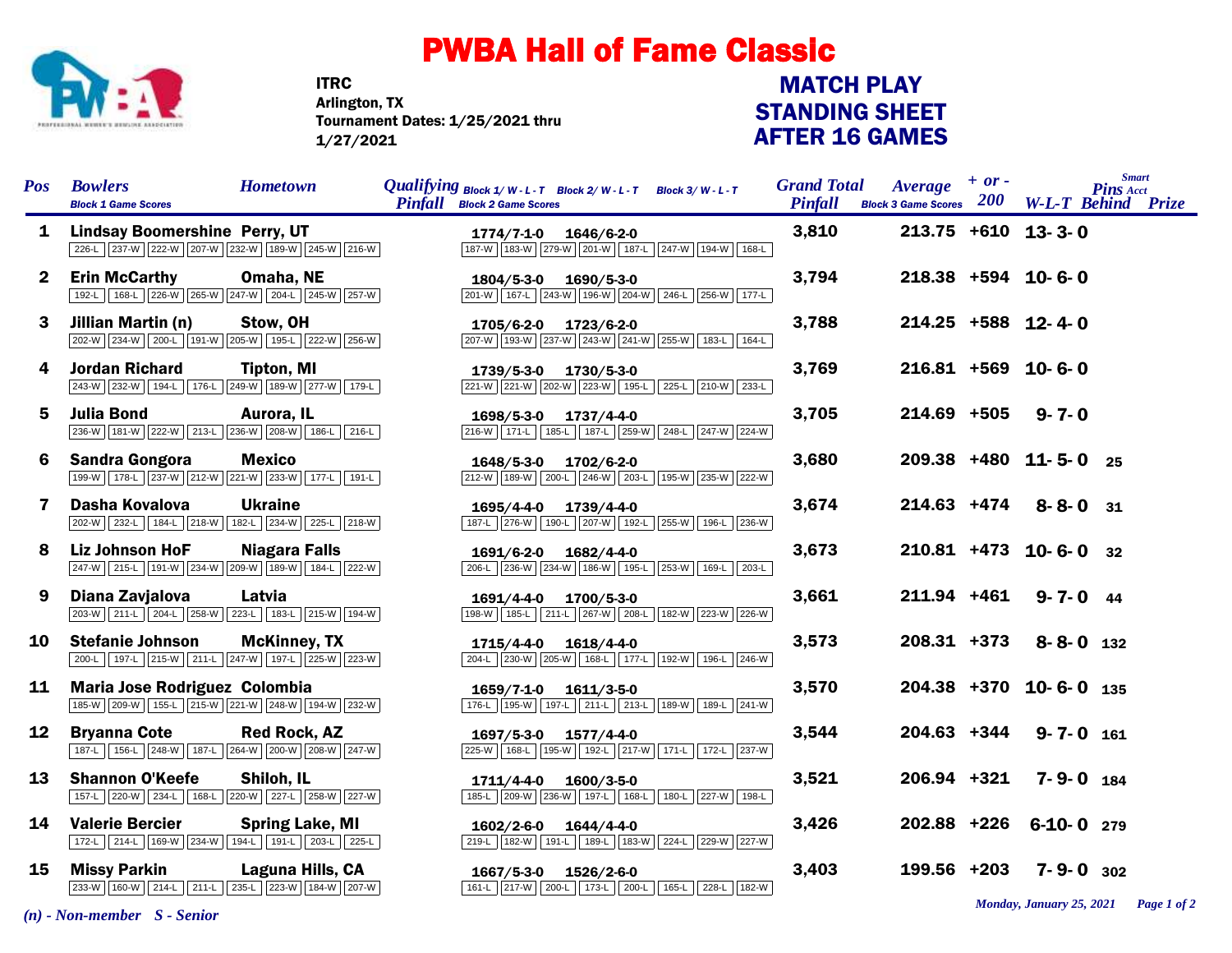

## PWBA Hall of Fame Classic

ITRC Tournament Dates: 1/25/2021 thru 1/27/2021 Arlington, TX

## STANDING SHEET AFTER 16 GAMES MATCH PLAY

| <b>Pos</b>      | <b>Bowlers</b><br><b>Block 1 Game Scores</b>                                                   | <b>Hometown</b>        | <i>Qualifying</i> $Block\ 1/W-L-T$ $Block\ 2/W-L-T$ $Block\ 3/W-L-T$<br><b>Pinfall</b> Block 2 Game Scores |                       |                                                 | <b>Grand Total</b><br><b>Pinfall</b> | $Average + or -$<br><b>Block 3 Game Scores</b> $200$ |                          | <b>Smart</b><br><b>Pins Acct</b><br><b>W-L-T Behind Prize</b> |  |
|-----------------|------------------------------------------------------------------------------------------------|------------------------|------------------------------------------------------------------------------------------------------------|-----------------------|-------------------------------------------------|--------------------------------------|------------------------------------------------------|--------------------------|---------------------------------------------------------------|--|
| 1               | <b>Lindsay Boomershine Perry, UT</b><br>226-L 237-W 222-W 207-W 232-W 189-W 245-W 216-W        |                        |                                                                                                            | 1774/7-1-0 1646/6-2-0 | 187-W 183-W 279-W 201-W 187-L 247-W 194-W 168-L | 3,810                                |                                                      | $213.75 + 610$ 13-3-0    |                                                               |  |
| $\mathbf{2}^-$  | <b>Erin McCarthy</b><br>192-L 168-L 226-W 265-W 247-W 204-L 245-W 257-W                        | Omaha, NE              |                                                                                                            | 1804/5-3-0 1690/5-3-0 | 201-W 167-L 243-W 196-W 204-W 246-L 256-W 177-L | 3,794                                |                                                      | $218.38 + 594$ 10-6-0    |                                                               |  |
| 3               | Jillian Martin (n)<br>202-W 234-W 200-L 191-W 205-W 195-L 222-W 256-W                          | Stow, OH               |                                                                                                            | 1705/6-2-0 1723/6-2-0 | 207-W 193-W 237-W 243-W 241-W 255-W 183-L 164-L | 3,788                                |                                                      | $214.25$ +588 12-4-0     |                                                               |  |
| 4               | <b>Jordan Richard</b><br>243-W 232-W 194-L 176-L 249-W 189-W 277-W 179-L                       | Tipton, MI             |                                                                                                            | 1739/5-3-0 1730/5-3-0 | 221-W 221-W 202-W 223-W 195-L 225-L 210-W 233-L | 3,769                                |                                                      | $216.81 + 569$ 10-6-0    |                                                               |  |
| 5.              | <b>Julia Bond</b><br>236-W 181-W 222-W 213-L 236-W 208-W 186-L 216-L                           | Aurora, IL             |                                                                                                            | 1698/5-3-0 1737/4-4-0 | 216-W 171-L 185-L 187-L 259-W 248-L 247-W 224-W | 3,705                                | 214.69 +505                                          | $9 - 7 - 0$              |                                                               |  |
| 6.              | <b>Sandra Gongora</b><br>199-W 178-L 237-W 212-W 221-W 233-W 177-L 191-L                       | <b>Mexico</b>          |                                                                                                            | 1648/5-3-0 1702/6-2-0 | 212-W 189-W 200-L 246-W 203-L 195-W 235-W 222-W | 3,680                                |                                                      | 209.38 +480 11-5-0 25    |                                                               |  |
| 7               | Dasha Kovalova<br>202-W 232-L 184-L 218-W 182-L 234-W 225-L 218-W                              | <b>Ukraine</b>         |                                                                                                            | 1695/4-4-0 1739/4-4-0 | 187-L 276-W 190-L 207-W 192-L 255-W 196-L 236-W | 3,674                                | 214.63 +474                                          | $8 - 8 - 0$ 31           |                                                               |  |
| 8               | <b>Liz Johnson HoF</b><br>247-W 215-L 191-W 234-W 209-W 189-W 184-L 222-W                      | <b>Niagara Falls</b>   |                                                                                                            | 1691/6-2-0 1682/4-4-0 | 206-L 236-W 234-W 186-W 195-L 253-W 169-L 203-L | 3,673                                |                                                      | $210.81$ +473 10-6-0 32  |                                                               |  |
| 9               | Diana Zavjalova<br>203-W 211-L 204-L 258-W 223-L 183-L 215-W 194-W                             | Latvia                 | 1691/4-4-0                                                                                                 | 1700/5-3-0            | 198-W 185-L 211-L 267-W 208-L 182-W 223-W 226-W | 3,661                                | 211.94 +461                                          | $9 - 7 - 0$ 44           |                                                               |  |
| 10              | <b>Stefanie Johnson</b><br>200-L 197-L 215-W 211-L 247-W 197-L 225-W 223-W                     | <b>McKinney, TX</b>    | 1715/4-4-0                                                                                                 | 1618/4-4-0            | 204-L 230-W 205-W 168-L 177-L 192-W 196-L 246-W | 3,573                                | $208.31$ +373                                        | $8 - 8 - 0$ 132          |                                                               |  |
| 11              | Maria Jose Rodriguez Colombia<br>185-W   209-W   155-L   215-W   221-W   248-W   194-W   232-W |                        |                                                                                                            | 1659/7-1-0 1611/3-5-0 | 176-L 195-W 197-L 211-L 213-L 189-W 189-L 241-W | 3,570                                |                                                      | $204.38$ +370 10-6-0 135 |                                                               |  |
| 12 <sup>°</sup> | <b>Bryanna Cote</b><br>187-L 156-L 248-W 187-L 264-W 200-W 208-W 247-W                         | <b>Red Rock, AZ</b>    |                                                                                                            | 1697/5-3-0 1577/4-4-0 | 225-W 168-L 195-W 192-L 217-W 171-L 172-L 237-W | 3,544                                | 204.63 +344                                          | $9 - 7 - 0$ 161          |                                                               |  |
| 13              | <b>Shannon O'Keefe</b><br>157-L 220-W 234-L 168-L 220-W 227-L 258-W 227-W                      | Shiloh, IL             | 1711/4-4-0                                                                                                 | $1600/3 - 5 - 0$      | 185-L 209-W 236-W 197-L 168-L 180-L 227-W 198-L | 3,521                                | 206.94 +321                                          | $7 - 9 - 0$ 184          |                                                               |  |
| 14              | <b>Valerie Bercier</b><br>172-L 214-L 169-W 234-W 194-L 191-L 203-L 225-L                      | <b>Spring Lake, MI</b> | 1602/2-6-0                                                                                                 | $1644/4 - 4 - 0$      | 219-L 182-W 191-L 189-L 183-W 224-L 229-W 227-W | 3,426                                |                                                      | 202.88 +226 6-10-0 279   |                                                               |  |
| 15              | <b>Missy Parkin</b><br>233-W 160-W 214-L 211-L 235-L 223-W 184-W 207-W                         | Laguna Hills, CA       |                                                                                                            | 1667/5-3-0 1526/2-6-0 | 161-L 217-W 200-L 173-L 200-L 165-L 228-L 182-W | 3,403                                | 199.56 +203                                          | $7 - 9 - 0$ 302          |                                                               |  |

*Monday, January 25, 2021 Page 1 of 2*